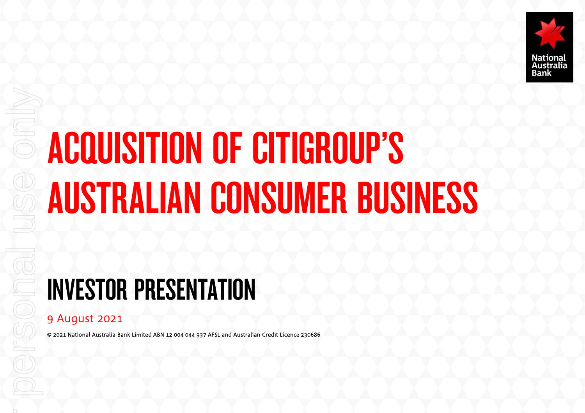

# ACQUISITION OF CITIGROUP'S AUSTRALIAN CONSUMER BUSINESS

# INVESTOR PRESENTATION

#### 9 August 2021

© 2021 National Australia Bank Limited ABN 12 004 044 937 AFSL and Australian Credit Licence 230686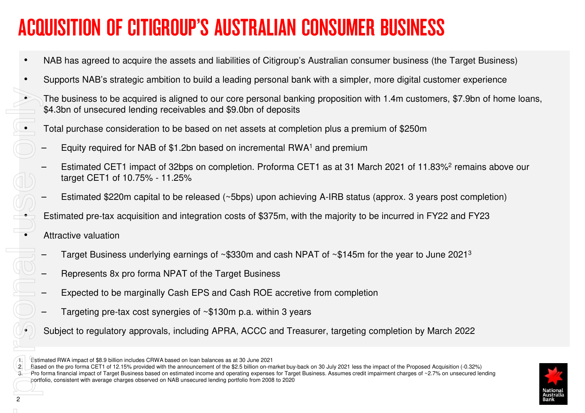### ACQUISITION OF CITIGROUP'S AUSTRALIAN CONSUMER BUSINESS

- •NAB has agreed to acquire the assets and liabilities of Citigroup's Australian consumer business (the Target Business)
- • Supports NAB's strategic ambition to build a leading personal bank with a simpler, more digital customer experience
	- The business to be acquired is aligned to our core personal banking proposition with 1.4m customers, \$7.9bn of home loans, \$4.3bn of unsecured lending receivables and \$9.0bn of deposits

Total purchase consideration to be based on net assets at completion plus a premium of \$250m

- Equity required for NAB of \$1.2bn based on incremental RWA<sup>1</sup> and premium
- Estimated CET1 impact of 32bps on completion. Proforma CET1 as at 31 March 2021 of 11.83%<sup>2</sup> remains above our target CET1 of 10.75% - 11.25%
- Estimated \$220m capital to be released (~5bps) upon achieving A-IRB status (approx. 3 years post completion)

Estimated pre-tax acquisition and integration costs of \$375m, with the majority to be incurred in FY22 and FY23

- Attractive valuation
- $-$  Target Business underlying earnings of ~\$330m and cash NPAT of ~\$145m for the year to June 2021 $^{\rm 3}$
- Represents 8x pro forma NPAT of the Target Business
- Expected to be marginally Cash EPS and Cash ROE accretive from completion
- Targeting pre-tax cost synergies of ~\$130m p.a. within 3 years
- Subject to regulatory approvals, including APRA, ACCC and Treasurer, targeting completion by March 2022

1. Estimated RWA impact of \$8.9 billion includes CRWA based on loan balances as at 30 June 2021

2. Based on the pro forma CET1 of 12.15% provided with the announcement of the \$2.5 billion on-market buy-back on 30 July 2021 less the impact of the Proposed Acquisition (-0.32%)

3. Pro forma financial impact of Target Business based on estimated income and operating expenses for Target Business. Assumes credit impairment charges of ~2.7% on unsecured lending portfolio, consistent with average charges observed on NAB unsecured lending portfolio from 2008 to 2020For personal use only



•

•

•

•

•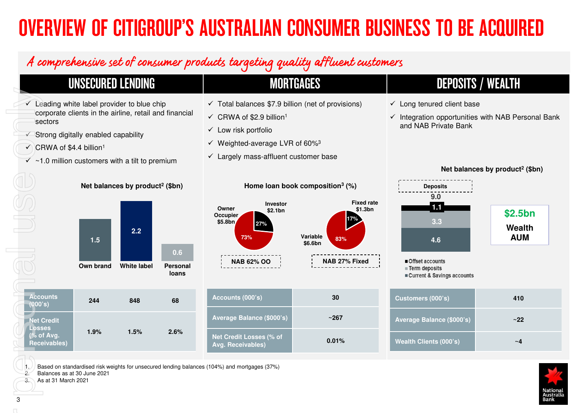# OVERVIEW OF CITIGROUP'S AUSTRALIAN CONSUMER BUSINESS TO BE ACQUIRED

#### A comprehensive set of consumer products targeting quality affluent customers

#### UNSECURED LENDING MORTGAGES DEPOSITS / WEALTHFor Personal USE of Personal use of Personal use of Personal use of Personal use of Personal use of Personal use of Personal use of Personal use of Personal use of Personal use of Personal use of Personal use of Personal u  $\checkmark$  Leading white label provider to blue chip<br>expected clients in the siding ratell and t  $\checkmark$  Total balances \$7.9 billion (net of provisions)  $\checkmark$  Long tenured client base corporate clients in the airline, retail and financial  $\checkmark$  CRWA of \$2.9 billion<sup>1</sup>  $\checkmark$  Integration opportunities with NAB Personal Bank sectors and NAB Private Bank $\checkmark$  Low risk portfolio  $\checkmark$  Strong digitally enabled capability  $\checkmark$  Weighted-average LVR of 60%<sup>3</sup>  $\bigcirc$  CRWA of \$4.4 billion $^1$  $\checkmark$  Largely mass-affluent customer base  $\checkmark$  ~1.0 million customers with a tilt to premium **Net balances by product2 (\$bn)Home loan book composition<sup>3</sup> (%)Net balances by product2 (\$bn)Deposits9.0Fixed rateInvestor1.1 Owner \$2.1bn\$1.3bn\$2.5bn Occupier17%\$5.8bn3.327%Wealth 2.2Variable 73%AUM1.583%4.6\$6.6bn0.6NAB 62% OO NAB 27% Fixed** Offset accounts **Own brand White label Personal Term deposits loans**Current & Savings accounts **Accounts Accounts (000's) 30Customers (000's) 410 <sup>244</sup> <sup>848</sup> <sup>68</sup> (000's)Average Balance (\$000's) ~267Average Balance (\$000's)Net Credit ~22Losses 1.9% 1.5% 2.6%**

1. Based on standardised risk weights for unsecured lending balances (104%) and mortgages (37%)<br>Balances as at 30 June 2021

2. Balances as at 30 June 2021

3. As at 31 March 2021

 **(% of Avg. Receivables)**

**0.01%**

**Wealth Clients (000's)**

**Net Credit Losses (% of Avg. Receivables)**

| v                  |     |                               |
|--------------------|-----|-------------------------------|
|                    | 410 |                               |
| $\overline{)0's)}$ | ~22 |                               |
| Ì                  | ~1  |                               |
|                    |     | National<br>Australia<br>Bank |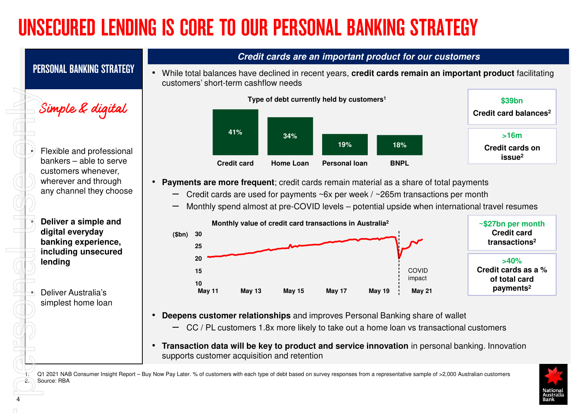# UNSECURED LENDING IS CORE TO OUR PERSONAL BANKING STRATEGY

#### **Credit cards are an important product for our customers**

PERSONAL BANKING STRATEGY

• While total balances have declined in recent years, **credit cards remain an important product** facilitating customers' short-term cashflow needs



 Flexible and professional bankers – able to serve customers whenever, wherever and through any channel they choose For personal use only

•

•

•

•

 **Deliver a simple and digital everyday banking experience, including unsecured lending** 

 Deliver Australia's simplest home loan



- **Payments are more frequent**; credit cards remain material as a share of total payments
	- $-$  Credit cards are used for payments ~6x per week / ~265m transactions per month
	- Monthly spend almost at pre-COVID levels potential upside when international travel resumes



- • **Deepens customer relationships** and improves Personal Banking share of wallet
	- CC / PL customers 1.8x more likely to take out a home loan vs transactional customers
- • **Transaction data will be key to product and service innovation** in personal banking. Innovation supports customer acquisition and retention

Q1 2021 NAB Consumer Insight Report – Buy Now Pay Later. % of customers with each type of debt based on survey responses from a representative sample of >2,000 Australian customers 2. Source: RBA

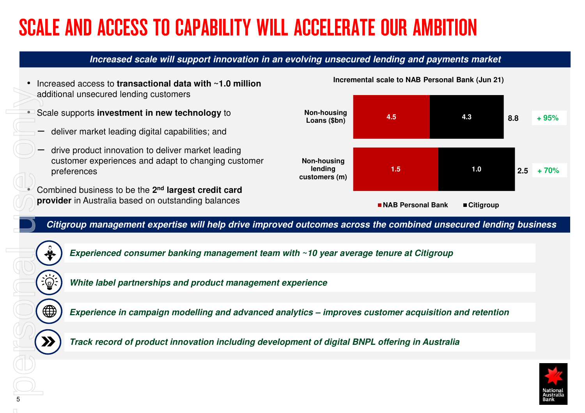# SCALE AND ACCESS TO CAPABILITY WILL ACCELERATE OUR AMBITION

#### **Increased scale will support innovation in an evolving unsecured lending and payments market**

- • Increased access to **transactional data with ~1.0 million**  additional unsecured lending customers
- • Scale supports **investment in new technology** to
	- deliver market leading digital capabilities; and
	- drive product innovation to deliver market leading customer experiences and adapt to changing customer preferences
- • Combined business to be the **2nd largest credit card provider** in Australia based on outstanding balances

#### **Incremental scale to NAB Personal Bank (Jun 21)**



**Citigroup management expertise will help drive improved outcomes across the combined unsecured lending business** 



**Experienced consumer banking management team with ~10 year average tenure at Citigroup**

**White label partnerships and product management experience**

**Experience in campaign modelling and advanced analytics – improves customer acquisition and retention**

**Track record of product innovation including development of digital BNPL offering in Australia** 

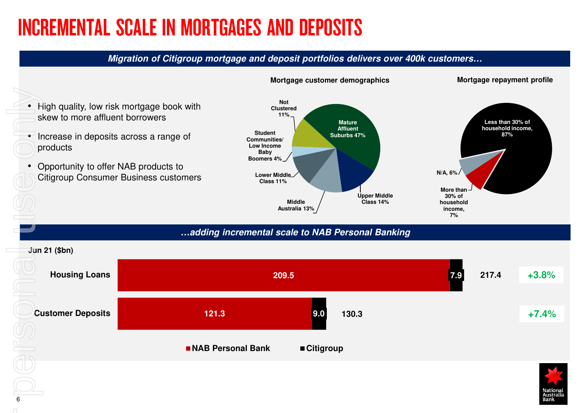### INCREMENTAL SCALE IN MORTGAGES AND DEPOSITS

#### **Migration of Citigroup mortgage and deposit portfolios delivers over 400k customers…**





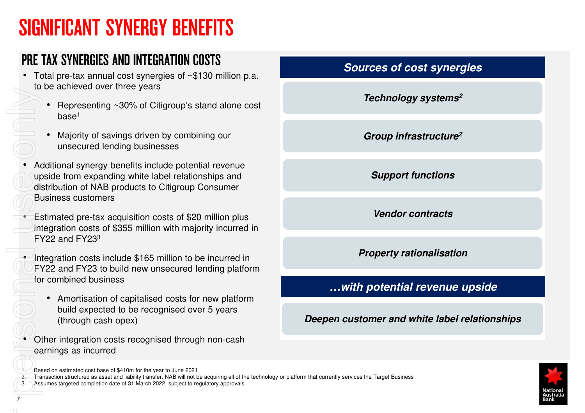### SIGNIFICANT SYNERGY BENEFITS

#### PRE TAX SYNERGIES AND INTEGRATION COSTS

- Total pre-tax annual cost synergies of ~\$130 million p.a. to be achieved over three years
	- Representing ~30% of Citigroup's stand alone cost base1
	- • Majority of savings driven by combining our unsecured lending businesses
- Additional synergy benefits include potential revenue upside from expanding white label relationships and distribution of NAB products to Citigroup Consumer Business customers For Condition of Condition of Condition of Condition of Condition of Condition of Condition of Condition of Condition of Condition of Condition of Condition of Condition of Condition of Condition of Condition of Condition
	- Estimated pre-tax acquisition costs of \$20 million plus integration costs of \$355 million with majority incurred in FY22 and FY23 $^3$
	- Integration costs include \$165 million to be incurred in FY22 and FY23 to build new unsecured lending platformfor combined business
		- Amortisation of capitalised costs for new platform build expected to be recognised over 5 years (through cash opex)
	- Other integration costs recognised through non-cash earnings as incurred

#### 1. Based on estimated cost base of \$410m for the year to June 2021

2. Transaction structured as asset and liability transfer. NAB will not be acquiring all of the technology or platform that currently services the Target Business

Assumes targeted completion date of 31 March 2022, subject to regulatory approvals

| <b>Sources of cost synergies</b> |  |
|----------------------------------|--|
|                                  |  |

**Technology systems2**

**Group infrastructure2**

**Support functions**

**Vendor contracts**

**Property rationalisation**

#### **…with potential revenue upside**

**Deepen customer and white label relationships**



•

•

•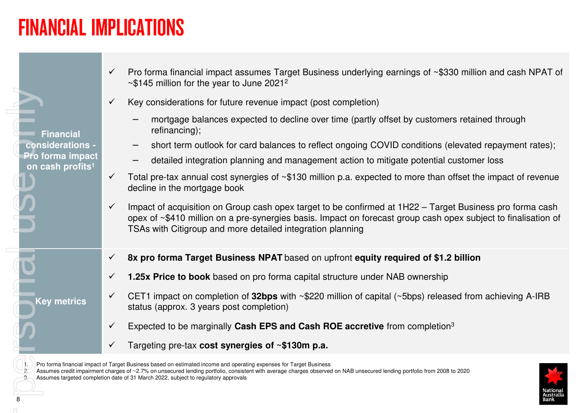### FINANCIAL IMPLICATIONS

|  |                                                  | Pro forma financial impact assumes Target Business underlying earnings of ~\$330 million and cash NPAT of<br>$\checkmark$<br>$\sim$ \$145 million for the year to June 2021 <sup>2</sup>                                                                                                                                                                                                                             |
|--|--------------------------------------------------|----------------------------------------------------------------------------------------------------------------------------------------------------------------------------------------------------------------------------------------------------------------------------------------------------------------------------------------------------------------------------------------------------------------------|
|  |                                                  | Key considerations for future revenue impact (post completion)<br>$\checkmark$                                                                                                                                                                                                                                                                                                                                       |
|  | <b>Financial</b>                                 | mortgage balances expected to decline over time (partly offset by customers retained through<br>refinancing);                                                                                                                                                                                                                                                                                                        |
|  | considerations -                                 | short term outlook for card balances to reflect ongoing COVID conditions (elevated repayment rates);                                                                                                                                                                                                                                                                                                                 |
|  | Pro forma impact<br>on cash profits <sup>1</sup> | detailed integration planning and management action to mitigate potential customer loss                                                                                                                                                                                                                                                                                                                              |
|  |                                                  | Total pre-tax annual cost synergies of ~\$130 million p.a. expected to more than offset the impact of revenue<br>$\checkmark$<br>decline in the mortgage book                                                                                                                                                                                                                                                        |
|  |                                                  | Impact of acquisition on Group cash opex target to be confirmed at 1H22 – Target Business pro forma cash<br>$\checkmark$<br>opex of ~\$410 million on a pre-synergies basis. Impact on forecast group cash opex subject to finalisation of<br>TSAs with Citigroup and more detailed integration planning                                                                                                             |
|  |                                                  | 8x pro forma Target Business NPAT based on upfront equity required of \$1.2 billion<br>$\checkmark$                                                                                                                                                                                                                                                                                                                  |
|  |                                                  | 1.25x Price to book based on pro forma capital structure under NAB ownership<br>$\checkmark$                                                                                                                                                                                                                                                                                                                         |
|  | <b>Key metrics</b>                               | CET1 impact on completion of 32bps with $\sim$ \$220 million of capital ( $\sim$ 5bps) released from achieving A-IRB<br>$\checkmark$<br>status (approx. 3 years post completion)                                                                                                                                                                                                                                     |
|  |                                                  | Expected to be marginally Cash EPS and Cash ROE accretive from completion <sup>3</sup>                                                                                                                                                                                                                                                                                                                               |
|  |                                                  | Targeting pre-tax cost synergies of ~\$130m p.a.<br>$\checkmark$                                                                                                                                                                                                                                                                                                                                                     |
|  |                                                  | Pro forma financial impact of Target Business based on estimated income and operating expenses for Target Business<br>Assumes credit impairment charges of ~2.7% on unsecured lending portfolio, consistent with average charges observed on NAB unsecured lending portfolio from 2008 to 2020<br>Assumes targeted completion date of 31 March 2022, subject to regulatory approvals<br>Vationa<br>Australia<br>Bank |
|  |                                                  |                                                                                                                                                                                                                                                                                                                                                                                                                      |
|  |                                                  |                                                                                                                                                                                                                                                                                                                                                                                                                      |
|  |                                                  |                                                                                                                                                                                                                                                                                                                                                                                                                      |
|  |                                                  |                                                                                                                                                                                                                                                                                                                                                                                                                      |



<sup>1.</sup> Pro forma financial impact of Target Business based on estimated income and operating expenses for Target Business<br>2. Assumes credit impairment charges of ~2.7% on unsecured lending portfolio, consistent with average ch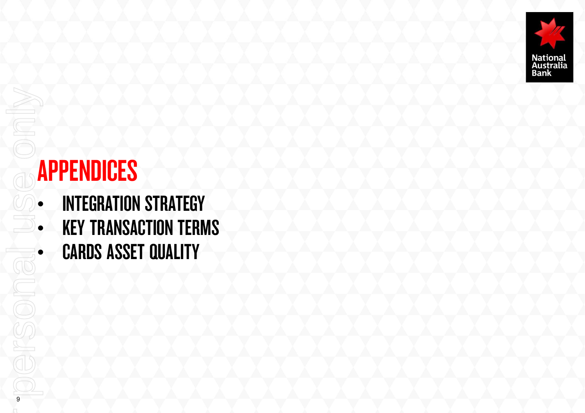

# APPENDICES

9

For personal use only• INTEGRATION STRATEGY •• KEY TRANSACTION TERMS • CARDS ASSET QUALITY•GO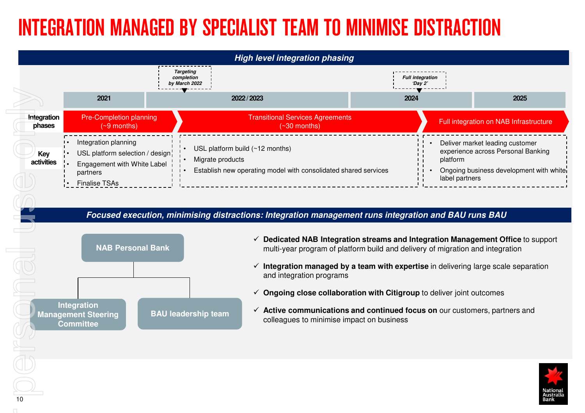### INTEGRATION MANAGED BY SPECIALIST TEAM TO MINIMISE DISTRACTION



**Integration Management Steering CommitteeBAU leadership team** 

- **Ongoing close collaboration with Citigroup** to deliver joint outcomes
- **Active communications and continued focus on** our customers, partners and colleagues to minimise impact on business

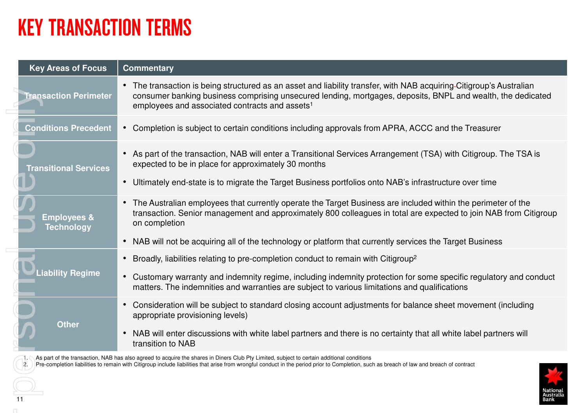### KEY TRANSACTION TERMS

| <b>Key Areas of Focus</b>                   | <b>Commentary</b>                                                                                                                                                                                                                                                                                                                                                             |
|---------------------------------------------|-------------------------------------------------------------------------------------------------------------------------------------------------------------------------------------------------------------------------------------------------------------------------------------------------------------------------------------------------------------------------------|
| <b>Transaction Perimeter</b>                | • The transaction is being structured as an asset and liability transfer, with NAB acquiring-Citigroup's Australian<br>consumer banking business comprising unsecured lending, mortgages, deposits, BNPL and wealth, the dedicated<br>employees and associated contracts and assets <sup>1</sup>                                                                              |
| <b>Conditions Precedent</b>                 | • Completion is subject to certain conditions including approvals from APRA, ACCC and the Treasurer                                                                                                                                                                                                                                                                           |
| <b>Transitional Services</b>                | As part of the transaction, NAB will enter a Transitional Services Arrangement (TSA) with Citigroup. The TSA is<br>$\bullet$<br>expected to be in place for approximately 30 months<br>Ultimately end-state is to migrate the Target Business portfolios onto NAB's infrastructure over time                                                                                  |
| <b>Employees &amp;</b><br><b>Technology</b> | The Australian employees that currently operate the Target Business are included within the perimeter of the<br>$\bullet$<br>transaction. Senior management and approximately 800 colleagues in total are expected to join NAB from Citigroup<br>on completion                                                                                                                |
|                                             | NAB will not be acquiring all of the technology or platform that currently services the Target Business<br>$\bullet$                                                                                                                                                                                                                                                          |
| <b>Liability Regime</b>                     | Broadly, liabilities relating to pre-completion conduct to remain with Citigroup <sup>2</sup><br>• Customary warranty and indemnity regime, including indemnity protection for some specific regulatory and conduct<br>matters. The indemnities and warranties are subject to various limitations and qualifications                                                          |
| <b>Other</b>                                | Consideration will be subject to standard closing account adjustments for balance sheet movement (including<br>appropriate provisioning levels)<br>NAB will enter discussions with white label partners and there is no certainty that all white label partners will<br>$\bullet$<br>transition to NAB                                                                        |
| 11                                          | As part of the transaction, NAB has also agreed to acquire the shares in Diners Club Pty Limited, subject to certain additional conditions<br>Pre-completion liabilities to remain with Citigroup include liabilities that arise from wrongful conduct in the period prior to Completion, such as breach of law and breach of contract<br>Nationa <mark>l</mark><br>Australia |
|                                             |                                                                                                                                                                                                                                                                                                                                                                               |

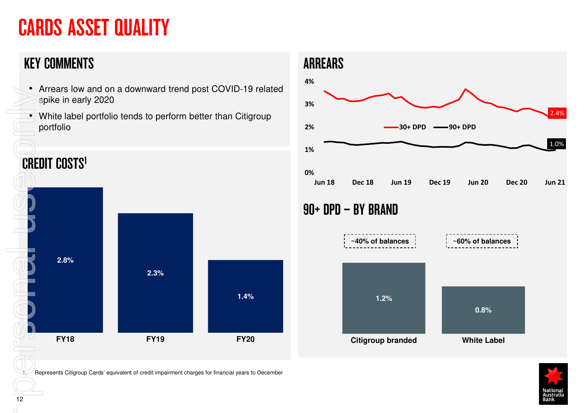# CARDS ASSET QUALITY

#### KEY COMMENTS

- Arrears low and on a downward trend post COVID-19 related spike in early 2020
- $\blacksquare$  White label portfolio tends to perform better than Citigroup portfolio



Represents Citigroup Cards' equivalent of credit impairment charges for financial years to December



#### 90+ DPD – BY BRAND





12